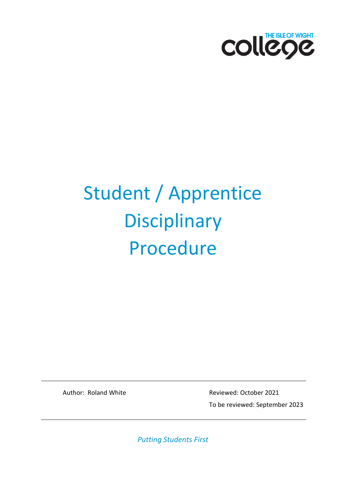

# Student / Apprentice **Disciplinary** Procedure

Author: Roland White **Reviewed: October 2021** To be reviewed: September 2023

*Putting Students First*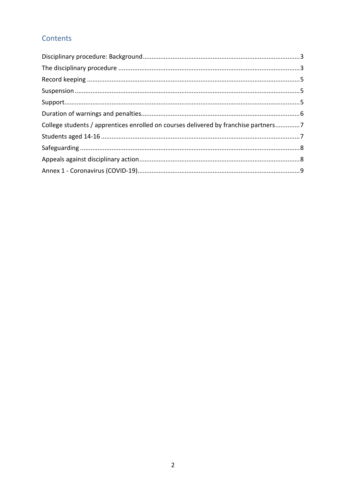#### Contents

| College students / apprentices enrolled on courses delivered by franchise partners7 |  |
|-------------------------------------------------------------------------------------|--|
|                                                                                     |  |
|                                                                                     |  |
|                                                                                     |  |
|                                                                                     |  |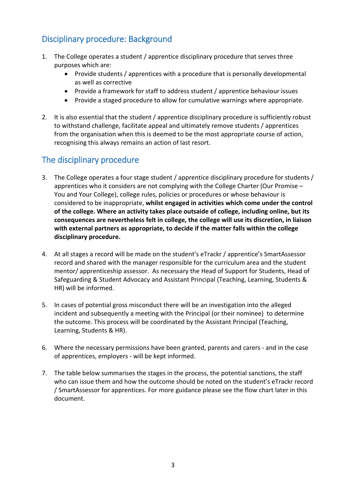# <span id="page-2-0"></span>Disciplinary procedure: Background

- 1. The College operates a student / apprentice disciplinary procedure that serves three purposes which are:
	- Provide students / apprentices with a procedure that is personally developmental as well as corrective
	- Provide a framework for staff to address student / apprentice behaviour issues
	- Provide a staged procedure to allow for cumulative warnings where appropriate.
- 2. It is also essential that the student / apprentice disciplinary procedure is sufficiently robust to withstand challenge, facilitate appeal and ultimately remove students / apprentices from the organisation when this is deemed to be the most appropriate course of action, recognising this always remains an action of last resort.

# <span id="page-2-1"></span>The disciplinary procedure

- 3. The College operates a four stage student / apprentice disciplinary procedure for students / apprentices who it considers are not complying with the College Charter (Our Promise – You and Your College), college rules, policies or procedures or whose behaviour is considered to be inappropriate, **whilst engaged in activities which come under the control of the college. Where an activity takes place outsaide of college, including online, but its consequences are nevertheless felt in college, the college will use its discretion, in liaison with external partners as appropriate, to decide if the matter falls within the college disciplinary procedure.**
- 4. At all stages a record will be made on the student's eTrackr / apprentice's SmartAssessor record and shared with the manager responsible for the curriculum area and the student mentor/ apprenticeship assessor. As necessary the Head of Support for Students, Head of Safeguarding & Student Advocacy and Assistant Principal (Teaching, Learning, Students & HR) will be informed.
- 5. In cases of potential gross misconduct there will be an investigation into the alleged incident and subsequently a meeting with the Principal (or their nominee) to determine the outcome. This process will be coordinated by the Assistant Principal (Teaching, Learning, Students & HR).
- 6. Where the necessary permissions have been granted, parents and carers and in the case of apprentices, employers - will be kept informed.
- 7. The table below summarises the stages in the process, the potential sanctions, the staff who can issue them and how the outcome should be noted on the student's eTrackr record / SmartAssessor for apprentices. For more guidance please see the flow chart later in this document.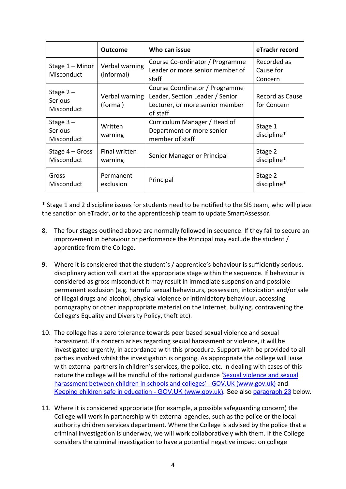|                                            | <b>Outcome</b>               | Who can issue                                                                                                    | eTrackr record                      |
|--------------------------------------------|------------------------------|------------------------------------------------------------------------------------------------------------------|-------------------------------------|
| Stage $1 -$ Minor<br>Misconduct            | Verbal warning<br>(informal) | Course Co-ordinator / Programme<br>Leader or more senior member of<br>staff                                      | Recorded as<br>Cause for<br>Concern |
| Stage $2-$<br><b>Serious</b><br>Misconduct | Verbal warning<br>(formal)   | Course Coordinator / Programme<br>Leader, Section Leader / Senior<br>Lecturer, or more senior member<br>of staff | Record as Cause<br>for Concern      |
| Stage $3-$<br><b>Serious</b><br>Misconduct | Written<br>warning           | Curriculum Manager / Head of<br>Department or more senior<br>member of staff                                     | Stage 1<br>discipline*              |
| Stage $4 - Gross$<br>Misconduct            | Final written<br>warning     | Senior Manager or Principal                                                                                      | Stage 2<br>discipline*              |
| Gross<br>Misconduct                        | Permanent<br>exclusion       | Principal                                                                                                        | Stage 2<br>discipline*              |

\* Stage 1 and 2 discipline issues for students need to be notified to the SIS team, who will place the sanction on eTrackr, or to the apprenticeship team to update SmartAssessor.

- 8. The four stages outlined above are normally followed in sequence. If they fail to secure an improvement in behaviour or performance the Principal may exclude the student / apprentice from the College.
- 9. Where it is considered that the student's / apprentice's behaviour is sufficiently serious, disciplinary action will start at the appropriate stage within the sequence. If behaviour is considered as gross misconduct it may result in immediate suspension and possible permanent exclusion (e.g. harmful sexual behaviours, possession, intoxication and/or sale of illegal drugs and alcohol, physical violence or intimidatory behaviour, accessing pornography or other inappropriate material on the Internet, bullying. contravening the College's Equality and Diversity Policy, theft etc).
- 10. The college has a zero tolerance towards peer based sexual violence and sexual harassment. If a concern arises regarding sexual harassment or violence, it will be investigated urgently, in accordance with this procedure. Support with be provided to all parties involved whilst the investigation is ongoing. As appropriate the college will liaise with external partners in children's services, the police, etc. In dealing with cases of this nature the college will be mindful of the national guidance 'Sexual violence and sexual harassment between children in schools and colleges' - GOV.UK (www.gov.uk) and [Keeping children safe in education - GOV.UK \(www.gov.uk\).](https://www.gov.uk/government/publications/keeping-children-safe-in-education--2) See also [paragraph 23](#page-7-0) below.
- 11. Where it is considered appropriate (for example, a possible safeguarding concern) the College will work in partnership with external agencies, such as the police or the local authority children services department. Where the College is advised by the police that a criminal investigation is underway, we will work collaboratively with them. If the College considers the criminal investigation to have a potential negative impact on college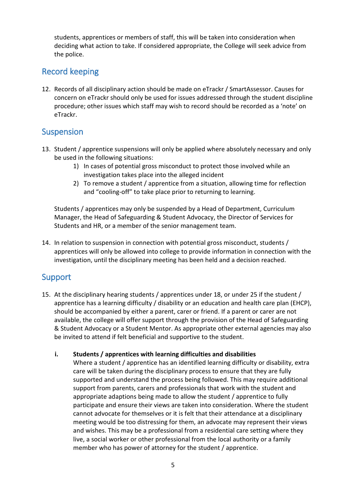students, apprentices or members of staff, this will be taken into consideration when deciding what action to take. If considered appropriate, the College will seek advice from the police.

# <span id="page-4-0"></span>Record keeping

12. Records of all disciplinary action should be made on eTrackr / SmartAssessor. Causes for concern on eTrackr should only be used for issues addressed through the student discipline procedure; other issues which staff may wish to record should be recorded as a 'note' on eTrackr.

#### <span id="page-4-1"></span>Suspension

- 13. Student / apprentice suspensions will only be applied where absolutely necessary and only be used in the following situations:
	- 1) In cases of potential gross misconduct to protect those involved while an investigation takes place into the alleged incident
	- 2) To remove a student / apprentice from a situation, allowing time for reflection and "cooling-off" to take place prior to returning to learning.

Students / apprentices may only be suspended by a Head of Department, Curriculum Manager, the Head of Safeguarding & Student Advocacy, the Director of Services for Students and HR, or a member of the senior management team.

14. In relation to suspension in connection with potential gross misconduct, students / apprentices will only be allowed into college to provide information in connection with the investigation, until the disciplinary meeting has been held and a decision reached.

## <span id="page-4-2"></span>Support

15. At the disciplinary hearing students / apprentices under 18, or under 25 if the student / apprentice has a learning difficulty / disability or an education and health care plan (EHCP), should be accompanied by either a parent, carer or friend. If a parent or carer are not available, the college will offer support through the provision of the Head of Safeguarding & Student Advocacy or a Student Mentor. As appropriate other external agencies may also be invited to attend if felt beneficial and supportive to the student.

#### **i. Students / apprentices with learning difficulties and disabilities**

Where a student / apprentice has an identified learning difficulty or disability, extra care will be taken during the disciplinary process to ensure that they are fully supported and understand the process being followed. This may require additional support from parents, carers and professionals that work with the student and appropriate adaptions being made to allow the student / apprentice to fully participate and ensure their views are taken into consideration. Where the student cannot advocate for themselves or it is felt that their attendance at a disciplinary meeting would be too distressing for them, an advocate may represent their views and wishes. This may be a professional from a residential care setting where they live, a social worker or other professional from the local authority or a family member who has power of attorney for the student / apprentice.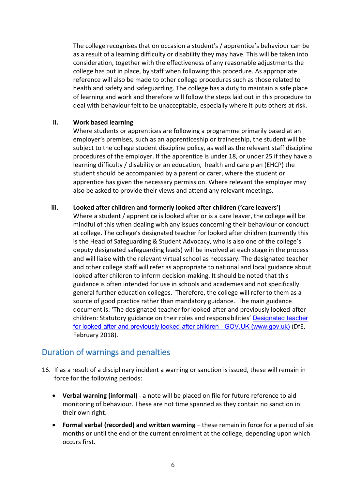The college recognises that on occasion a student's / apprentice's behaviour can be as a result of a learning difficulty or disability they may have. This will be taken into consideration, together with the effectiveness of any reasonable adjustments the college has put in place, by staff when following this procedure. As appropriate reference will also be made to other college procedures such as those related to health and safety and safeguarding. The college has a duty to maintain a safe place of learning and work and therefore will follow the steps laid out in this procedure to deal with behaviour felt to be unacceptable, especially where it puts others at risk.

#### **ii. Work based learning**

Where students or apprentices are following a programme primarily based at an employer's premises, such as an apprenticeship or traineeship, the student will be subject to the college student discipline policy, as well as the relevant staff discipline procedures of the employer. If the apprentice is under 18, or under 25 if they have a learning difficulty / disability or an education, health and care plan (EHCP) the student should be accompanied by a parent or carer, where the student or apprentice has given the necessary permission. Where relevant the employer may also be asked to provide their views and attend any relevant meetings.

#### **iii. Looked after children and formerly looked after children ('care leavers')**

Where a student / apprentice is looked after or is a care leaver, the college will be mindful of this when dealing with any issues concerning their behaviour or conduct at college. The college's designated teacher for looked after children (currently this is the Head of Safeguarding & Student Advocacy, who is also one of the college's deputy designated safeguarding leads) will be involved at each stage in the process and will liaise with the relevant virtual school as necessary. The designated teacher and other college staff will refer as appropriate to national and local guidance about looked after children to inform decision-making. It should be noted that this guidance is often intended for use in schools and academies and not specifically general further education colleges. Therefore, the college will refer to them as a source of good practice rather than mandatory guidance. The main guidance document is: 'The designated teacher for looked-after and previously looked-after children: Statutory guidance on their roles and responsibilities' Designated teacher for looked-after and previously looked-after children - GOV.UK (www.gov.uk) (DfE, February 2018).

## <span id="page-5-0"></span>Duration of warnings and penalties

- 16. If as a result of a disciplinary incident a warning or sanction is issued, these will remain in force for the following periods:
	- **Verbal warning (informal)** a note will be placed on file for future reference to aid monitoring of behaviour. These are not time spanned as they contain no sanction in their own right.
	- **Formal verbal (recorded) and written warning** these remain in force for a period of six months or until the end of the current enrolment at the college, depending upon which occurs first.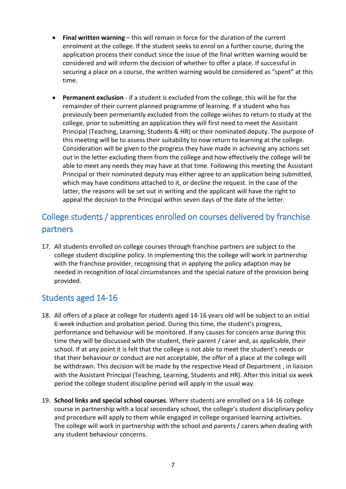- **Final written warning** this will remain in force for the duration of the current enrolment at the college. If the student seeks to enrol on a further course, during the application process their conduct since the issue of the final written warning would be considered and will inform the decision of whether to offer a place. If successful in securing a place on a course, the written warning would be considered as "spent" at this time.
- **Permanent exclusion** if a student is excluded from the college, this will be for the remainder of their current planned programme of learning. If a student who has previously been permenantly excluded from the college wishes to return to study at the college, prior to submitting an application they will first need to meet the Assistant Principal (Teaching, Learning, Students & HR) or their nominated deputy. The purpose of this meeting will be to assess their suitability to now return to learning at the college. Consideration will be given to the progress they have made in achieving any actions set out in the letter excluding them from the college and how effectively the college will be able to meet any needs they may have at that time. Following this meeting the Assistant Principal or their nominated deputy may either agree to an application being submitted, which may have conditions attached to it, or decline the request. In the case of the latter, the reasons will be set out in writing and the applicant will have the right to appeal the decision to the Principal within seven days of the date of the letter.

# <span id="page-6-0"></span>College students / apprentices enrolled on courses delivered by franchise partners

17. All students enrolled on college courses through franchise partners are subject to the college student discipline policy. In implementing this the college will work in partnership with the franchise provider, recognising that in applying the policy adaption may be needed in recognition of local circumstances and the special nature of the provision being provided.

## <span id="page-6-1"></span>Students aged 14-16

- 18. All offers of a place at college for students aged 14-16 years old will be subject to an initial 6 week induction and probation period. During this time, the student's progress, performance and behaviour will be monitored. If any causes for concern arise during this time they will be discussed with the student, their parent / carer and, as applicable, their school. If at any point it is felt that the college is not able to meet the student's needs or that their behaviour or conduct are not acceptable, the offer of a place at the college will be withdrawn. This decision will be made by the respective Head of Department , in liaision with the Assistant Principal (Teaching, Learning, Students and HR). After this initial six week period the college student discipline period will apply in the usual way.
- 19. **School links and special school courses**. Where students are enrolled on a 14-16 college course in partnership with a local secondary school, the college's student disciplinary policy and procedure will apply to them while engaged in college organised learning activities. The college will work in partnership with the school and parents / carers when dealing with any student behaviour concerns.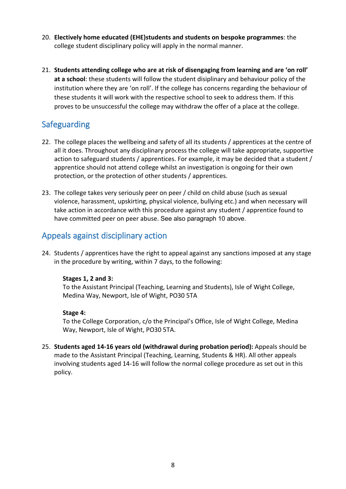- 20. **Electively home educated (EHE)students and students on bespoke programmes**: the college student disciplinary policy will apply in the normal manner.
- 21. **Students attending college who are at risk of disengaging from learning and are 'on roll' at a school**: these students will follow the student disiplinary and behaviour policy of the institution where they are 'on roll'. If the college has concerns regarding the behaviour of these students it will work with the respective school to seek to address them. If this proves to be unsuccessful the college may withdraw the offer of a place at the college.

# <span id="page-7-0"></span>Safeguarding

- 22. The college places the wellbeing and safety of all its students / apprentices at the centre of all it does. Throughout any disciplinary process the college will take appropriate, supportive action to safeguard students / apprentices. For example, it may be decided that a student / apprentice should not attend college whilst an investigation is ongoing for their own protection, or the protection of other students / apprentices.
- 23. The college takes very seriously peer on peer / child on child abuse (such as sexual violence, harassment, upskirting, physical violence, bullying etc.) and when necessary will take action in accordance with this procedure against any student / apprentice found to have committed peer on peer abuse. See also paragraph 10 above.

## <span id="page-7-1"></span>Appeals against disciplinary action

24. Students / apprentices have the right to appeal against any sanctions imposed at any stage in the procedure by writing, within 7 days, to the following:

#### **Stages 1, 2 and 3:**

To the Assistant Principal (Teaching, Learning and Students), Isle of Wight College, Medina Way, Newport, Isle of Wight, PO30 5TA

#### **Stage 4:**

To the College Corporation, c/o the Principal's Office, Isle of Wight College, Medina Way, Newport, Isle of Wight, PO30 5TA.

25. **Students aged 14-16 years old (withdrawal during probation period):** Appeals should be made to the Assistant Principal (Teaching, Learning, Students & HR). All other appeals involving students aged 14-16 will follow the normal college procedure as set out in this policy.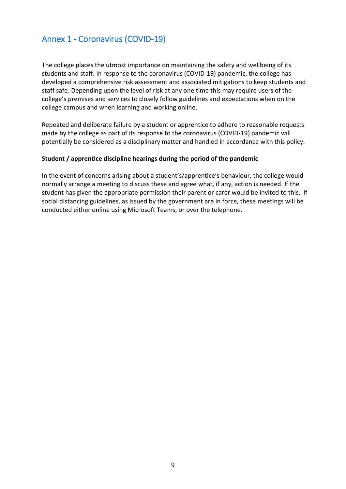# <span id="page-8-0"></span>Annex 1 - Coronavirus (COVID-19)

The college places the utmost importance on maintaining the safety and wellbeing of its students and staff. In response to the coronavirus (COVID-19) pandemic, the college has developed a comprehensive risk assessment and associated mitigations to keep students and staff safe. Depending upon the level of risk at any one time this may require users of the college's premises and services to closely follow guidelines and expectations when on the college campus and when learning and working online.

Repeated and deliberate failure by a student or apprentice to adhere to reasonable requests made by the college as part of its response to the coronavirus (COVID-19) pandemic will potentially be considered as a disciplinary matter and handled in accordance with this policy.

#### **Student / apprentice discipline hearings during the period of the pandemic**

In the event of concerns arising about a student's/apprentice's behaviour, the college would normally arrange a meeting to discuss these and agree what, if any, action is needed. If the student has given the appropriate permission their parent or carer would be invited to this. If social distancing guidelines, as issued by the government are in force, these meetings will be conducted either online using Microsoft Teams, or over the telephone.